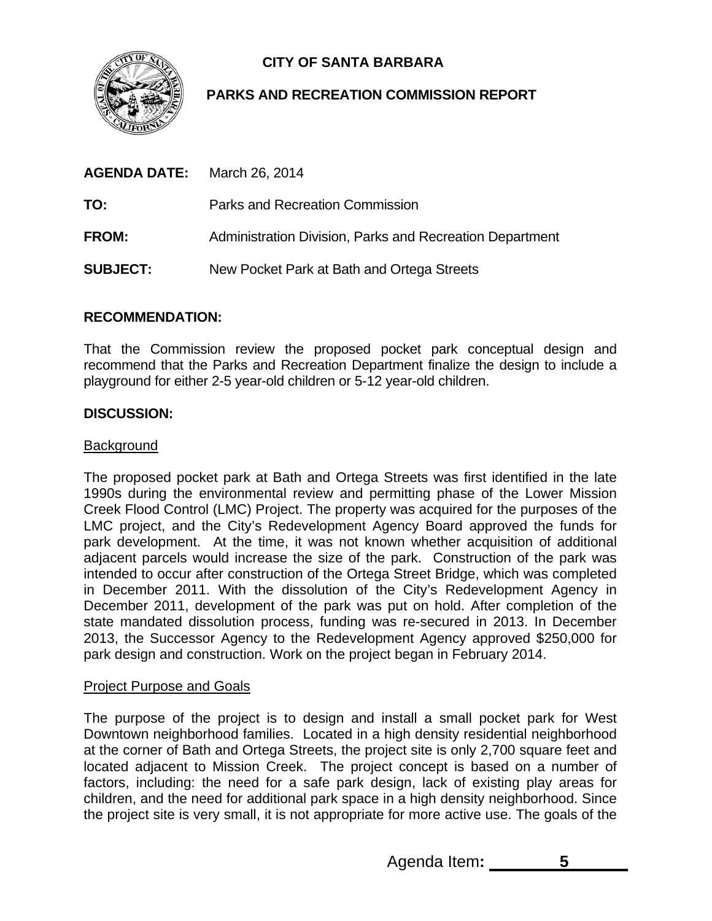

# **CITY OF SANTA BARBARA**

## **PARKS AND RECREATION COMMISSION REPORT**

| <b>AGENDA DATE:</b> | March 26, 2014                                           |
|---------------------|----------------------------------------------------------|
| TO:                 | Parks and Recreation Commission                          |
| <b>FROM:</b>        | Administration Division, Parks and Recreation Department |
| <b>SUBJECT:</b>     | New Pocket Park at Bath and Ortega Streets               |

## **RECOMMENDATION:**

That the Commission review the proposed pocket park conceptual design and recommend that the Parks and Recreation Department finalize the design to include a playground for either 2-5 year-old children or 5-12 year-old children.

## **DISCUSSION:**

#### Background

The proposed pocket park at Bath and Ortega Streets was first identified in the late 1990s during the environmental review and permitting phase of the Lower Mission Creek Flood Control (LMC) Project. The property was acquired for the purposes of the LMC project, and the City's Redevelopment Agency Board approved the funds for park development. At the time, it was not known whether acquisition of additional adjacent parcels would increase the size of the park. Construction of the park was intended to occur after construction of the Ortega Street Bridge, which was completed in December 2011. With the dissolution of the City's Redevelopment Agency in December 2011, development of the park was put on hold. After completion of the state mandated dissolution process, funding was re-secured in 2013. In December 2013, the Successor Agency to the Redevelopment Agency approved \$250,000 for park design and construction. Work on the project began in February 2014.

## Project Purpose and Goals

The purpose of the project is to design and install a small pocket park for West Downtown neighborhood families. Located in a high density residential neighborhood at the corner of Bath and Ortega Streets, the project site is only 2,700 square feet and located adjacent to Mission Creek. The project concept is based on a number of factors, including: the need for a safe park design, lack of existing play areas for children, and the need for additional park space in a high density neighborhood. Since the project site is very small, it is not appropriate for more active use. The goals of the

Agenda Item**: 5**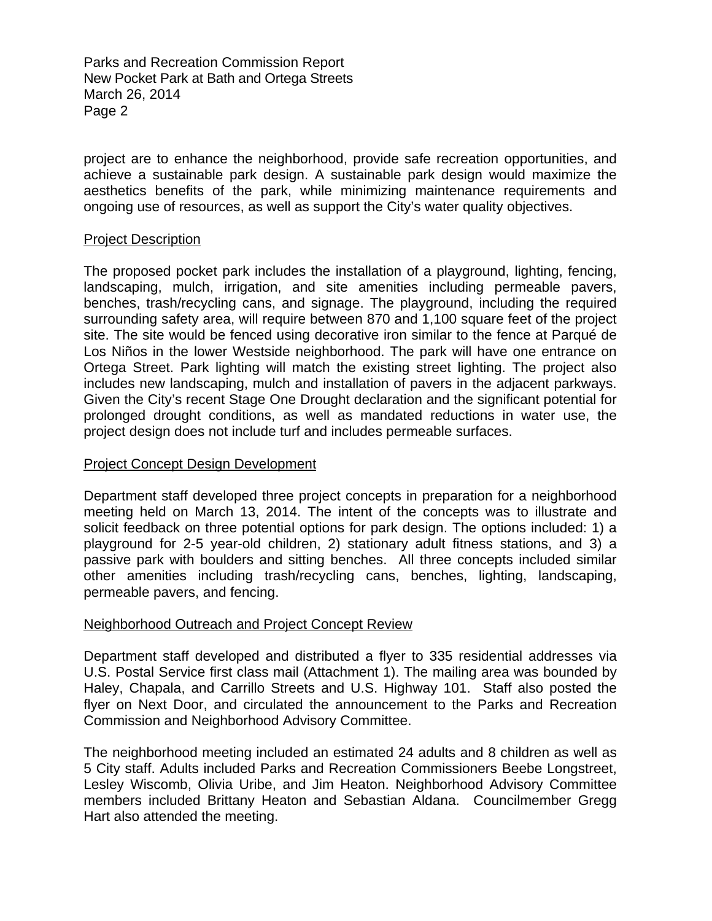Parks and Recreation Commission Report New Pocket Park at Bath and Ortega Streets March 26, 2014 Page 2

project are to enhance the neighborhood, provide safe recreation opportunities, and achieve a sustainable park design. A sustainable park design would maximize the aesthetics benefits of the park, while minimizing maintenance requirements and ongoing use of resources, as well as support the City's water quality objectives.

#### Project Description

The proposed pocket park includes the installation of a playground, lighting, fencing, landscaping, mulch, irrigation, and site amenities including permeable pavers, benches, trash/recycling cans, and signage. The playground, including the required surrounding safety area, will require between 870 and 1,100 square feet of the project site. The site would be fenced using decorative iron similar to the fence at Parqué de Los Niños in the lower Westside neighborhood. The park will have one entrance on Ortega Street. Park lighting will match the existing street lighting. The project also includes new landscaping, mulch and installation of pavers in the adjacent parkways. Given the City's recent Stage One Drought declaration and the significant potential for prolonged drought conditions, as well as mandated reductions in water use, the project design does not include turf and includes permeable surfaces.

#### Project Concept Design Development

Department staff developed three project concepts in preparation for a neighborhood meeting held on March 13, 2014. The intent of the concepts was to illustrate and solicit feedback on three potential options for park design. The options included: 1) a playground for 2-5 year-old children, 2) stationary adult fitness stations, and 3) a passive park with boulders and sitting benches. All three concepts included similar other amenities including trash/recycling cans, benches, lighting, landscaping, permeable pavers, and fencing.

#### Neighborhood Outreach and Project Concept Review

Department staff developed and distributed a flyer to 335 residential addresses via U.S. Postal Service first class mail (Attachment 1). The mailing area was bounded by Haley, Chapala, and Carrillo Streets and U.S. Highway 101. Staff also posted the flyer on Next Door, and circulated the announcement to the Parks and Recreation Commission and Neighborhood Advisory Committee.

The neighborhood meeting included an estimated 24 adults and 8 children as well as 5 City staff. Adults included Parks and Recreation Commissioners Beebe Longstreet, Lesley Wiscomb, Olivia Uribe, and Jim Heaton. Neighborhood Advisory Committee members included Brittany Heaton and Sebastian Aldana. Councilmember Gregg Hart also attended the meeting.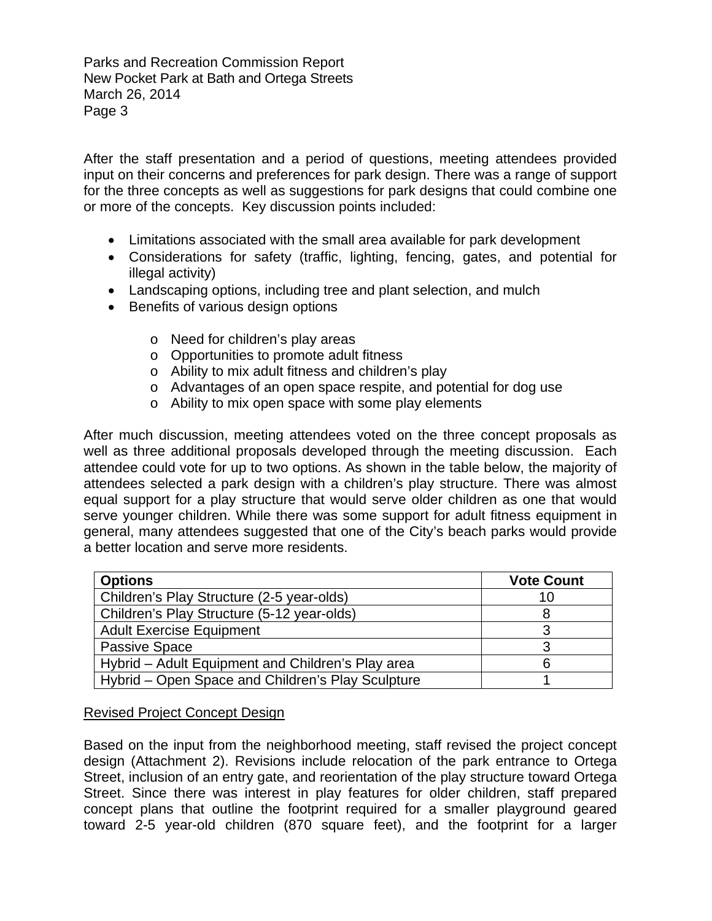Parks and Recreation Commission Report New Pocket Park at Bath and Ortega Streets March 26, 2014 Page 3

After the staff presentation and a period of questions, meeting attendees provided input on their concerns and preferences for park design. There was a range of support for the three concepts as well as suggestions for park designs that could combine one or more of the concepts. Key discussion points included:

- Limitations associated with the small area available for park development
- Considerations for safety (traffic, lighting, fencing, gates, and potential for illegal activity)
- Landscaping options, including tree and plant selection, and mulch
- Benefits of various design options
	- o Need for children's play areas
	- o Opportunities to promote adult fitness
	- o Ability to mix adult fitness and children's play
	- o Advantages of an open space respite, and potential for dog use
	- o Ability to mix open space with some play elements

After much discussion, meeting attendees voted on the three concept proposals as well as three additional proposals developed through the meeting discussion. Each attendee could vote for up to two options. As shown in the table below, the majority of attendees selected a park design with a children's play structure. There was almost equal support for a play structure that would serve older children as one that would serve younger children. While there was some support for adult fitness equipment in general, many attendees suggested that one of the City's beach parks would provide a better location and serve more residents.

| <b>Options</b>                                    | <b>Vote Count</b> |
|---------------------------------------------------|-------------------|
| Children's Play Structure (2-5 year-olds)         | 10                |
| Children's Play Structure (5-12 year-olds)        |                   |
| <b>Adult Exercise Equipment</b>                   |                   |
| <b>Passive Space</b>                              |                   |
| Hybrid – Adult Equipment and Children's Play area |                   |
| Hybrid - Open Space and Children's Play Sculpture |                   |

#### Revised Project Concept Design

Based on the input from the neighborhood meeting, staff revised the project concept design (Attachment 2). Revisions include relocation of the park entrance to Ortega Street, inclusion of an entry gate, and reorientation of the play structure toward Ortega Street. Since there was interest in play features for older children, staff prepared concept plans that outline the footprint required for a smaller playground geared toward 2-5 year-old children (870 square feet), and the footprint for a larger